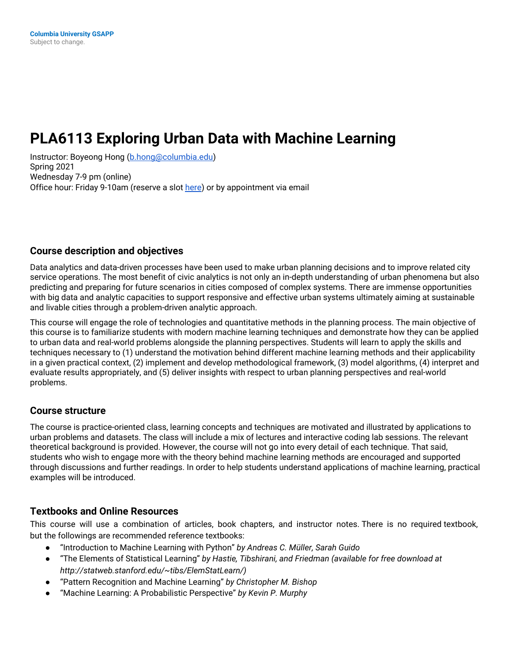# **PLA6113 Exploring Urban Data with Machine Learning**

Instructor: Boyeong Hong [\(b.hong@columbia.edu\)](mailto:b.hong@columbia.edu) Spring 2021 Wednesday 7-9 pm (online) Office hour: Friday 9-10am (reserve a slot [here](https://calendar.google.com/calendar/u/0/selfsched?sstoken=UU9taVRQcm52ajM4fGRlZmF1bHR8YWExZGJhOTE4MWJkMTc0YzZlZDA3Nzg0MmQzNTVkY2M)) or by appointment via email

#### **Course description and objectives**

Data analytics and data-driven processes have been used to make urban planning decisions and to improve related city service operations. The most benefit of civic analytics is not only an in-depth understanding of urban phenomena but also predicting and preparing for future scenarios in cities composed of complex systems. There are immense opportunities with big data and analytic capacities to support responsive and effective urban systems ultimately aiming at sustainable and livable cities through a problem-driven analytic approach.

This course will engage the role of technologies and quantitative methods in the planning process. The main objective of this course is to familiarize students with modern machine learning techniques and demonstrate how they can be applied to urban data and real-world problems alongside the planning perspectives. Students will learn to apply the skills and techniques necessary to (1) understand the motivation behind different machine learning methods and their applicability in a given practical context, (2) implement and develop methodological framework, (3) model algorithms, (4) interpret and evaluate results appropriately, and (5) deliver insights with respect to urban planning perspectives and real-world problems.

#### **Course structure**

The course is practice-oriented class, learning concepts and techniques are motivated and illustrated by applications to urban problems and datasets. The class will include a mix of lectures and interactive coding lab sessions. The relevant theoretical background is provided. However, the course will not go into every detail of each technique. That said, students who wish to engage more with the theory behind machine learning methods are encouraged and supported through discussions and further readings. In order to help students understand applications of machine learning, practical examples will be introduced.

#### **Textbooks and Online Resources**

This course will use a combination of articles, book chapters, and instructor notes. There is no required textbook, but the followings are recommended reference textbooks:

- "Introduction to Machine Learning with Python" *by Andreas C. Müller, Sarah Guido*
- "The Elements of Statistical Learning" *by Hastie, Tibshirani, and Friedman (available for free download at http://statweb.stanford.edu/~tibs/ElemStatLearn/)*
- "Pattern Recognition and Machine Learning" *by Christopher M. Bishop*
- "Machine Learning: A Probabilistic Perspective" *by Kevin P. Murphy*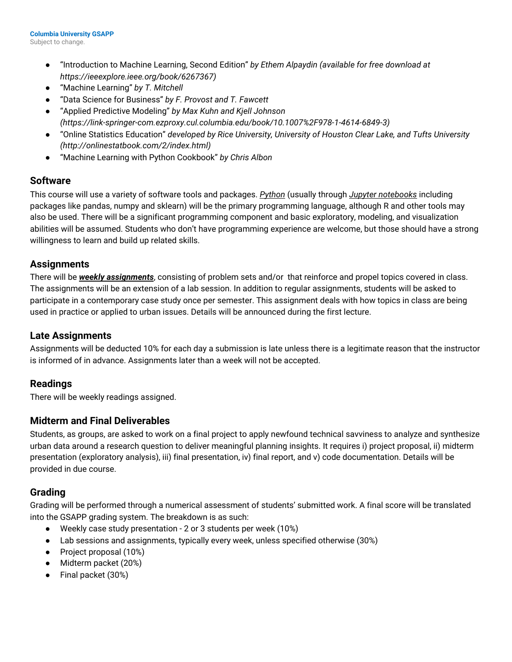- "Introduction to Machine Learning, Second Edition" *by Ethem Alpaydin (available for free download at https://ieeexplore.ieee.org/book/6267367)*
- "Machine Learning" *by T. Mitchell*
- "Data Science for Business" *by F. Provost and T. Fawcett*
- "Applied Predictive Modeling" *by Max Kuhn and Kjell Johnson (https://link-springer-com.ezproxy.cul.columbia.edu/book/10.1007%2F978-1-4614-6849-3)*
- "Online Statistics Education" *developed by Rice University, University of Houston Clear Lake, and Tufts University (http://onlinestatbook.com/2/index.html)*
- "Machine Learning with Python Cookbook" *by Chris Albon*

#### **Software**

This course will use a variety of software tools and packages. *Python* (usually through *Jupyter notebooks* including packages like pandas, numpy and sklearn) will be the primary programming language, although R and other tools may also be used. There will be a significant programming component and basic exploratory, modeling, and visualization abilities will be assumed. Students who don't have programming experience are welcome, but those should have a strong willingness to learn and build up related skills.

#### **Assignments**

There will be *weekly assignments*, consisting of problem sets and/or that reinforce and propel topics covered in class. The assignments will be an extension of a lab session. In addition to regular assignments, students will be asked to participate in a contemporary case study once per semester. This assignment deals with how topics in class are being used in practice or applied to urban issues. Details will be announced during the first lecture.

#### **Late Assignments**

Assignments will be deducted 10% for each day a submission is late unless there is a legitimate reason that the instructor is informed of in advance. Assignments later than a week will not be accepted.

#### **Readings**

There will be weekly readings assigned.

#### **Midterm and Final Deliverables**

Students, as groups, are asked to work on a final project to apply newfound technical savviness to analyze and synthesize urban data around a research question to deliver meaningful planning insights. It requires i) project proposal, ii) midterm presentation (exploratory analysis), iii) final presentation, iv) final report, and v) code documentation. Details will be provided in due course.

#### **Grading**

Grading will be performed through a numerical assessment of students' submitted work. A final score will be translated into the GSAPP grading system. The breakdown is as such:

- Weekly case study presentation 2 or 3 students per week (10%)
- Lab sessions and assignments, typically every week, unless specified otherwise (30%)
- Project proposal (10%)
- Midterm packet (20%)
- Final packet (30%)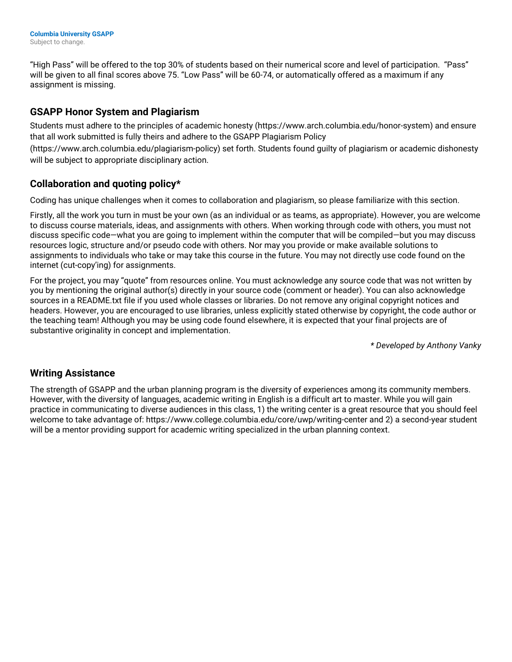"High Pass" will be offered to the top 30% of students based on their numerical score and level of participation. "Pass" will be given to all final scores above 75. "Low Pass" will be 60-74, or automatically offered as a maximum if any assignment is missing.

## **GSAPP Honor System and Plagiarism**

Students must adhere to the principles of academic honesty (https://www.arch.columbia.edu/honor-system) and ensure that all work submitted is fully theirs and adhere to the GSAPP Plagiarism Policy

(https://www.arch.columbia.edu/plagiarism-policy) set forth. Students found guilty of plagiarism or academic dishonesty will be subject to appropriate disciplinary action.

## **Collaboration and quoting policy\***

Coding has unique challenges when it comes to collaboration and plagiarism, so please familiarize with this section.

Firstly, all the work you turn in must be your own (as an individual or as teams, as appropriate). However, you are welcome to discuss course materials, ideas, and assignments with others. When working through code with others, you must not discuss specific code—what you are going to implement within the computer that will be compiled—but you may discuss resources logic, structure and/or pseudo code with others. Nor may you provide or make available solutions to assignments to individuals who take or may take this course in the future. You may not directly use code found on the internet (cut-copy'ing) for assignments.

For the project, you may "quote" from resources online. You must acknowledge any source code that was not written by you by mentioning the original author(s) directly in your source code (comment or header). You can also acknowledge sources in a README.txt file if you used whole classes or libraries. Do not remove any original copyright notices and headers. However, you are encouraged to use libraries, unless explicitly stated otherwise by copyright, the code author or the teaching team! Although you may be using code found elsewhere, it is expected that your final projects are of substantive originality in concept and implementation.

*\* Developed by Anthony Vanky*

## **Writing Assistance**

The strength of GSAPP and the urban planning program is the diversity of experiences among its community members. However, with the diversity of languages, academic writing in English is a difficult art to master. While you will gain practice in communicating to diverse audiences in this class, 1) the writing center is a great resource that you should feel welcome to take advantage of: <https://www.college.columbia.edu/core/uwp/writing-center> and 2) a second-year student will be a mentor providing support for academic writing specialized in the urban planning context.